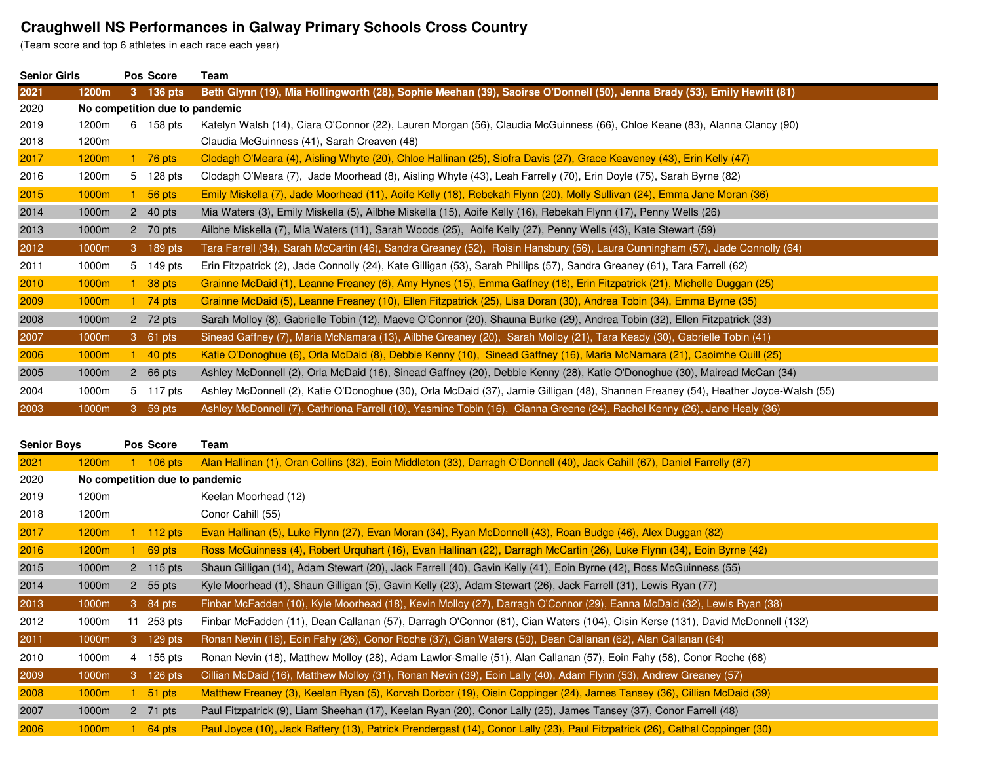## **Craughwell NS Performances in Galway Primary Schools Cross Country** (Team score and top 6 athletes in each race each year)

| <b>Senior Girls</b> |                                |    | Pos Score               | Team                                                                                                                               |  |
|---------------------|--------------------------------|----|-------------------------|------------------------------------------------------------------------------------------------------------------------------------|--|
| 2021                | 1200m                          |    | 3 136 pts               | Beth Glynn (19), Mia Hollingworth (28), Sophie Meehan (39), Saoirse O'Donnell (50), Jenna Brady (53), Emily Hewitt (81)            |  |
| 2020                | No competition due to pandemic |    |                         |                                                                                                                                    |  |
| 2019                | 1200m                          |    | 6 158 pts               | Katelyn Walsh (14), Ciara O'Connor (22), Lauren Morgan (56), Claudia McGuinness (66), Chloe Keane (83), Alanna Clancy (90)         |  |
| 2018                | 1200m                          |    |                         | Claudia McGuinness (41), Sarah Creaven (48)                                                                                        |  |
| 2017                | 1200 <sub>m</sub>              |    | 1 $76$ pts              | Clodagh O'Meara (4), Aisling Whyte (20), Chloe Hallinan (25), Siofra Davis (27), Grace Keaveney (43), Erin Kelly (47)              |  |
| 2016                | 1200m                          |    | 5 128 pts               | Clodagh O'Meara (7), Jade Moorhead (8), Aisling Whyte (43), Leah Farrelly (70), Erin Doyle (75), Sarah Byrne (82)                  |  |
| 2015                | 1000m                          |    | 56 pts                  | Emily Miskella (7), Jade Moorhead (11), Aoife Kelly (18), Rebekah Flynn (20), Molly Sullivan (24), Emma Jane Moran (36)            |  |
| 2014                | 1000m                          |    | 2 40 pts                | Mia Waters (3), Emily Miskella (5), Ailbhe Miskella (15), Aoife Kelly (16), Rebekah Flynn (17), Penny Wells (26)                   |  |
| 2013                | 1000m                          |    | 2 70 pts                | Ailbhe Miskella (7), Mia Waters (11), Sarah Woods (25), Aoife Kelly (27), Penny Wells (43), Kate Stewart (59)                      |  |
| 2012                | 1000m                          | 3  | $189$ pts               | Tara Farrell (34), Sarah McCartin (46), Sandra Greaney (52), Roisin Hansbury (56), Laura Cunningham (57), Jade Connolly (64)       |  |
| 2011                | 1000m                          |    | 5 149 pts               | Erin Fitzpatrick (2), Jade Connolly (24), Kate Gilligan (53), Sarah Phillips (57), Sandra Greaney (61), Tara Farrell (62)          |  |
| 2010                | 1000m                          |    | 38 pts                  | Grainne McDaid (1), Leanne Freaney (6), Amy Hynes (15), Emma Gaffney (16), Erin Fitzpatrick (21), Michelle Duggan (25)             |  |
| 2009                | 1000m                          |    | 1 $74$ pts              | Grainne McDaid (5), Leanne Freaney (10), Ellen Fitzpatrick (25), Lisa Doran (30), Andrea Tobin (34), Emma Byrne (35)               |  |
| 2008                | 1000m                          |    | 2 72 pts                | Sarah Molloy (8), Gabrielle Tobin (12), Maeve O'Connor (20), Shauna Burke (29), Andrea Tobin (32), Ellen Fitzpatrick (33)          |  |
| 2007                | 1000m                          |    | 3 61 pts                | Sinead Gaffney (7), Maria McNamara (13), Ailbhe Greaney (20), Sarah Molloy (21), Tara Keady (30), Gabrielle Tobin (41)             |  |
| 2006                | 1000m                          |    | $1\quad 40 \text{ pts}$ | Katie O'Donoghue (6), Orla McDaid (8), Debbie Kenny (10), Sinead Gaffney (16), Maria McNamara (21), Caoimhe Quill (25)             |  |
| 2005                | 1000m                          |    | 2 $66 \text{ pts}$      | Ashley McDonnell (2), Orla McDaid (16), Sinead Gaffney (20), Debbie Kenny (28), Katie O'Donoghue (30), Mairead McCan (34)          |  |
| 2004                | 1000m                          |    | 5 117 pts               | Ashley McDonnell (2), Katie O'Donoghue (30), Orla McDaid (37), Jamie Gilligan (48), Shannen Freaney (54), Heather Joyce-Walsh (55) |  |
| 2003                | 1000m                          | 3. | 59 pts                  | Ashley McDonnell (7), Cathriona Farrell (10), Yasmine Tobin (16), Cianna Greene (24), Rachel Kenny (26), Jane Healy (36)           |  |

| <b>Senior Boys</b> |                   |    | Pos Score             | Team                                                                                                                         |
|--------------------|-------------------|----|-----------------------|------------------------------------------------------------------------------------------------------------------------------|
| 2021               | 1200 <sub>m</sub> |    | $106$ pts             | Alan Hallinan (1), Oran Collins (32), Eoin Middleton (33), Darragh O'Donnell (40), Jack Cahill (67), Daniel Farrelly (87)    |
| 2020               |                   |    |                       | No competition due to pandemic                                                                                               |
| 2019               | 1200m             |    |                       | Keelan Moorhead (12)                                                                                                         |
| 2018               | 1200m             |    |                       | Conor Cahill (55)                                                                                                            |
| 2017               | 1200 <sub>m</sub> |    | $112$ pts             | Evan Hallinan (5), Luke Flynn (27), Evan Moran (34), Ryan McDonnell (43), Roan Budge (46), Alex Duggan (82)                  |
| 2016               | 1200 <sub>m</sub> |    | 69 pts                | Ross McGuinness (4), Robert Urquhart (16), Evan Hallinan (22), Darragh McCartin (26), Luke Flynn (34), Eoin Byrne (42)       |
| 2015               | 1000m             |    | 2 115 pts             | Shaun Gilligan (14), Adam Stewart (20), Jack Farrell (40), Gavin Kelly (41), Eoin Byrne (42), Ross McGuinness (55)           |
| 2014               | 1000m             |    | 2 55 pts              | Kyle Moorhead (1), Shaun Gilligan (5), Gavin Kelly (23), Adam Stewart (26), Jack Farrell (31), Lewis Ryan (77)               |
| 2013               | 1000m             |    | $3 \overline{84}$ pts | Finbar McFadden (10), Kyle Moorhead (18), Kevin Molloy (27), Darragh O'Connor (29), Eanna McDaid (32), Lewis Ryan (38)       |
| 2012               | 1000m             | 11 | 253 pts               | Finbar McFadden (11), Dean Callanan (57), Darragh O'Connor (81), Cian Waters (104), Oisin Kerse (131), David McDonnell (132) |
| 2011               | 1000m             |    | 3 129 pts             | Ronan Nevin (16), Eoin Fahy (26), Conor Roche (37), Cian Waters (50), Dean Callanan (62), Alan Callanan (64)                 |
| 2010               | 1000m             |    | 4 155 pts             | Ronan Nevin (18), Matthew Molloy (28), Adam Lawlor-Smalle (51), Alan Callanan (57), Eoin Fahy (58), Conor Roche (68)         |
| 2009               | 1000m             |    | 3 126 pts             | Cillian McDaid (16), Matthew Molloy (31), Ronan Nevin (39), Eoin Lally (40), Adam Flynn (53), Andrew Greaney (57)            |
| 2008               | 1000m             |    | 51 pts                | Matthew Freaney (3), Keelan Ryan (5), Korvah Dorbor (19), Oisin Coppinger (24), James Tansey (36), Cillian McDaid (39)       |
| 2007               | 1000m             |    | 2 71 pts              | Paul Fitzpatrick (9), Liam Sheehan (17), Keelan Ryan (20), Conor Lally (25), James Tansey (37), Conor Farrell (48)           |
| 2006               | 1000m             |    | 64 pts                | Paul Joyce (10), Jack Raftery (13), Patrick Prendergast (14), Conor Lally (23), Paul Fitzpatrick (26), Cathal Coppinger (30) |